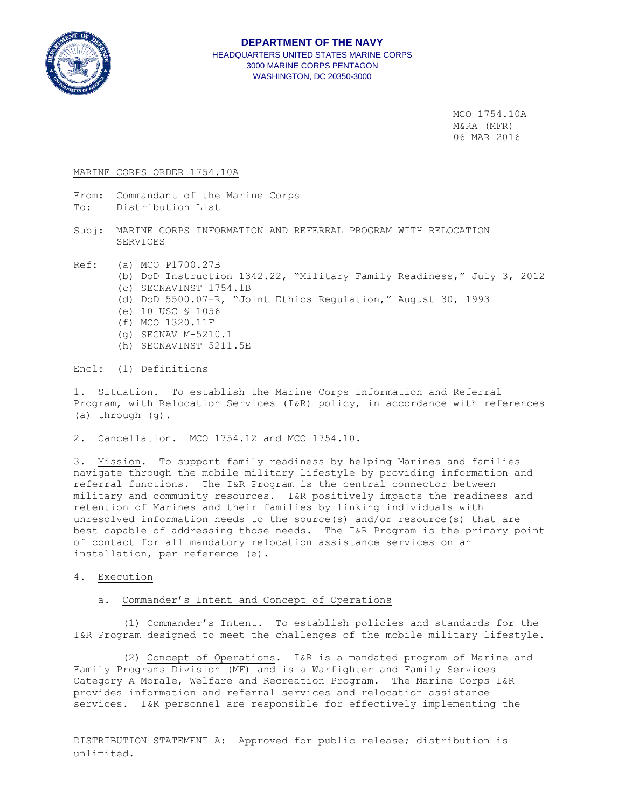

# **DEPARTMENT OF THE NAVY** HEADQUARTERS UNITED STATES MARINE CORPS 3000 MARINE CORPS PENTAGON WASHINGTON, DC 20350-3000

 MCO 1754.10A M&RA (MFR) 06 MAR 2016

#### MARINE CORPS ORDER 1754.10A

- From: Commandant of the Marine Corps
- To: Distribution List
- Subj: MARINE CORPS INFORMATION AND REFERRAL PROGRAM WITH RELOCATION SERVICES
- Ref: (a) MCO P1700.27B (b) DoD Instruction 1342.22, "Military Family Readiness," July 3, 2012 (c) SECNAVINST 1754.1B (d) DoD 5500.07-R, "Joint Ethics Regulation," August 30, 1993 (e) 10 USC § 1056 (f) MCO 1320.11F (g) SECNAV M-5210.1 (h) SECNAVINST 5211.5E

Encl: (1) Definitions

1. Situation. To establish the Marine Corps Information and Referral Program, with Relocation Services (I&R) policy, in accordance with references (a) through (g).

2. Cancellation. MCO 1754.12 and MCO 1754.10.

3. Mission. To support family readiness by helping Marines and families navigate through the mobile military lifestyle by providing information and referral functions. The I&R Program is the central connector between military and community resources. I&R positively impacts the readiness and retention of Marines and their families by linking individuals with unresolved information needs to the source(s) and/or resource(s) that are best capable of addressing those needs. The I&R Program is the primary point of contact for all mandatory relocation assistance services on an installation, per reference (e).

4. Execution

### a. Commander's Intent and Concept of Operations

 (1) Commander's Intent. To establish policies and standards for the I&R Program designed to meet the challenges of the mobile military lifestyle.

 (2) Concept of Operations. I&R is a mandated program of Marine and Family Programs Division (MF) and is a Warfighter and Family Services Category A Morale, Welfare and Recreation Program. The Marine Corps I&R provides information and referral services and relocation assistance services. I&R personnel are responsible for effectively implementing the

DISTRIBUTION STATEMENT A: Approved for public release; distribution is unlimited.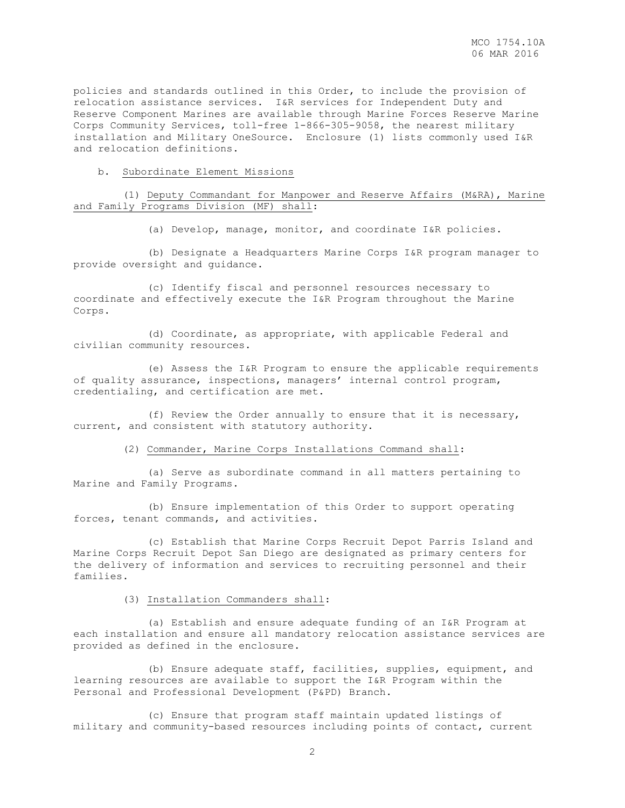policies and standards outlined in this Order, to include the provision of relocation assistance services. I&R services for Independent Duty and Reserve Component Marines are available through Marine Forces Reserve Marine Corps Community Services, toll-free 1-866-305-9058, the nearest military installation and Military OneSource. Enclosure (1) lists commonly used I&R and relocation definitions.

#### b. Subordinate Element Missions

 (1) Deputy Commandant for Manpower and Reserve Affairs (M&RA), Marine and Family Programs Division (MF) shall:

(a) Develop, manage, monitor, and coordinate I&R policies.

 (b) Designate a Headquarters Marine Corps I&R program manager to provide oversight and guidance.

 (c) Identify fiscal and personnel resources necessary to coordinate and effectively execute the I&R Program throughout the Marine Corps.

 (d) Coordinate, as appropriate, with applicable Federal and civilian community resources.

 (e) Assess the I&R Program to ensure the applicable requirements of quality assurance, inspections, managers' internal control program, credentialing, and certification are met.

 (f) Review the Order annually to ensure that it is necessary, current, and consistent with statutory authority.

(2) Commander, Marine Corps Installations Command shall:

 (a) Serve as subordinate command in all matters pertaining to Marine and Family Programs.

 (b) Ensure implementation of this Order to support operating forces, tenant commands, and activities.

 (c) Establish that Marine Corps Recruit Depot Parris Island and Marine Corps Recruit Depot San Diego are designated as primary centers for the delivery of information and services to recruiting personnel and their families.

(3) Installation Commanders shall:

 (a) Establish and ensure adequate funding of an I&R Program at each installation and ensure all mandatory relocation assistance services are provided as defined in the enclosure.

 (b) Ensure adequate staff, facilities, supplies, equipment, and learning resources are available to support the I&R Program within the Personal and Professional Development (P&PD) Branch.

 (c) Ensure that program staff maintain updated listings of military and community-based resources including points of contact, current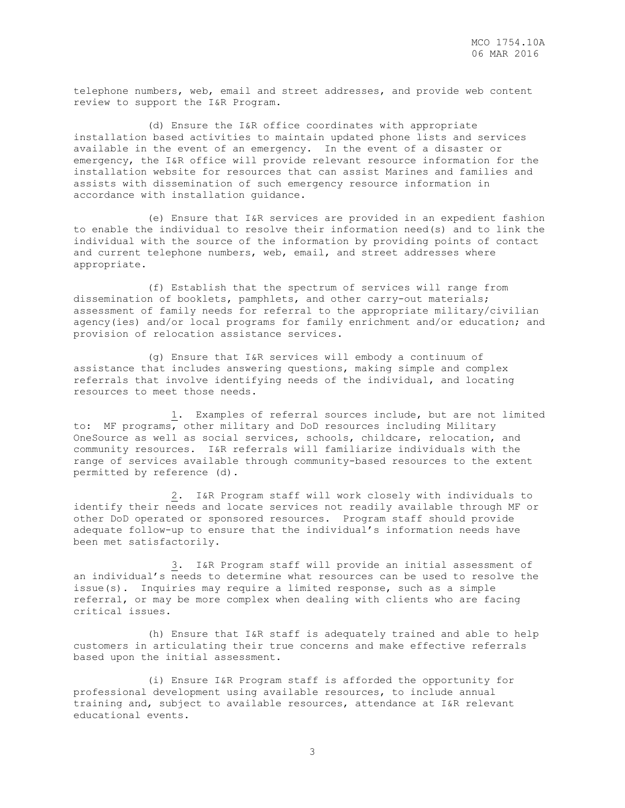telephone numbers, web, email and street addresses, and provide web content review to support the I&R Program.

 (d) Ensure the I&R office coordinates with appropriate installation based activities to maintain updated phone lists and services available in the event of an emergency. In the event of a disaster or emergency, the I&R office will provide relevant resource information for the installation website for resources that can assist Marines and families and assists with dissemination of such emergency resource information in accordance with installation guidance.

 (e) Ensure that I&R services are provided in an expedient fashion to enable the individual to resolve their information need(s) and to link the individual with the source of the information by providing points of contact and current telephone numbers, web, email, and street addresses where appropriate.

 (f) Establish that the spectrum of services will range from dissemination of booklets, pamphlets, and other carry-out materials; assessment of family needs for referral to the appropriate military/civilian agency(ies) and/or local programs for family enrichment and/or education; and provision of relocation assistance services.

 (g) Ensure that I&R services will embody a continuum of assistance that includes answering questions, making simple and complex referrals that involve identifying needs of the individual, and locating resources to meet those needs.

 1. Examples of referral sources include, but are not limited to: MF programs, other military and DoD resources including Military OneSource as well as social services, schools, childcare, relocation, and community resources. I&R referrals will familiarize individuals with the range of services available through community-based resources to the extent permitted by reference (d).

 2. I&R Program staff will work closely with individuals to identify their needs and locate services not readily available through MF or other DoD operated or sponsored resources. Program staff should provide adequate follow-up to ensure that the individual's information needs have been met satisfactorily.

 3. I&R Program staff will provide an initial assessment of an individual's needs to determine what resources can be used to resolve the issue(s). Inquiries may require a limited response, such as a simple referral, or may be more complex when dealing with clients who are facing critical issues.

 (h) Ensure that I&R staff is adequately trained and able to help customers in articulating their true concerns and make effective referrals based upon the initial assessment.

 (i) Ensure I&R Program staff is afforded the opportunity for professional development using available resources, to include annual training and, subject to available resources, attendance at I&R relevant educational events.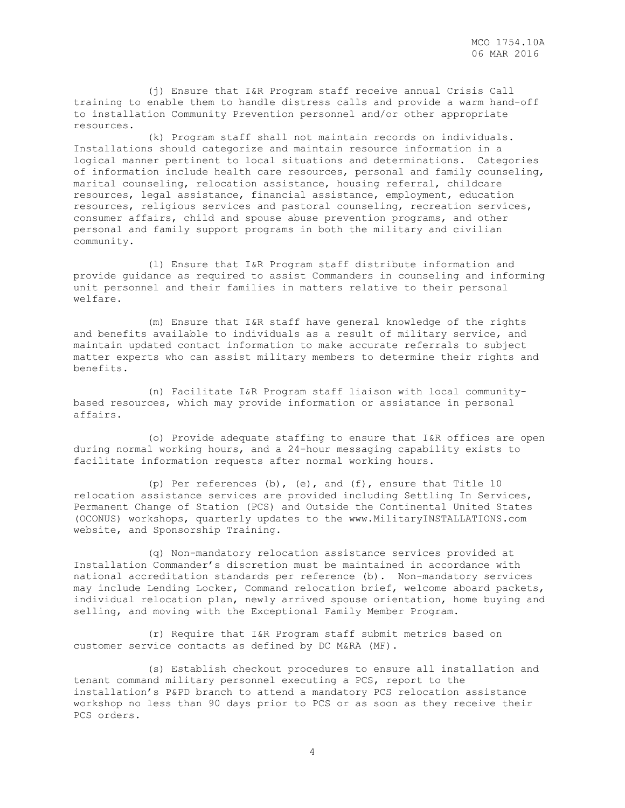(j) Ensure that I&R Program staff receive annual Crisis Call training to enable them to handle distress calls and provide a warm hand-off to installation Community Prevention personnel and/or other appropriate resources.

 (k) Program staff shall not maintain records on individuals. Installations should categorize and maintain resource information in a logical manner pertinent to local situations and determinations. Categories of information include health care resources, personal and family counseling, marital counseling, relocation assistance, housing referral, childcare resources, legal assistance, financial assistance, employment, education resources, religious services and pastoral counseling, recreation services, consumer affairs, child and spouse abuse prevention programs, and other personal and family support programs in both the military and civilian community.

 (l) Ensure that I&R Program staff distribute information and provide guidance as required to assist Commanders in counseling and informing unit personnel and their families in matters relative to their personal welfare.

 (m) Ensure that I&R staff have general knowledge of the rights and benefits available to individuals as a result of military service, and maintain updated contact information to make accurate referrals to subject matter experts who can assist military members to determine their rights and benefits.

 (n) Facilitate I&R Program staff liaison with local communitybased resources, which may provide information or assistance in personal affairs.

 (o) Provide adequate staffing to ensure that I&R offices are open during normal working hours, and a 24-hour messaging capability exists to facilitate information requests after normal working hours.

 (p) Per references (b), (e), and (f), ensure that Title 10 relocation assistance services are provided including Settling In Services, Permanent Change of Station (PCS) and Outside the Continental United States (OCONUS) workshops, quarterly updates to the www.MilitaryINSTALLATIONS.com website, and Sponsorship Training.

 (q) Non-mandatory relocation assistance services provided at Installation Commander's discretion must be maintained in accordance with national accreditation standards per reference (b). Non-mandatory services may include Lending Locker, Command relocation brief, welcome aboard packets, individual relocation plan, newly arrived spouse orientation, home buying and selling, and moving with the Exceptional Family Member Program.

 (r) Require that I&R Program staff submit metrics based on customer service contacts as defined by DC M&RA (MF).

 (s) Establish checkout procedures to ensure all installation and tenant command military personnel executing a PCS, report to the installation's P&PD branch to attend a mandatory PCS relocation assistance workshop no less than 90 days prior to PCS or as soon as they receive their PCS orders.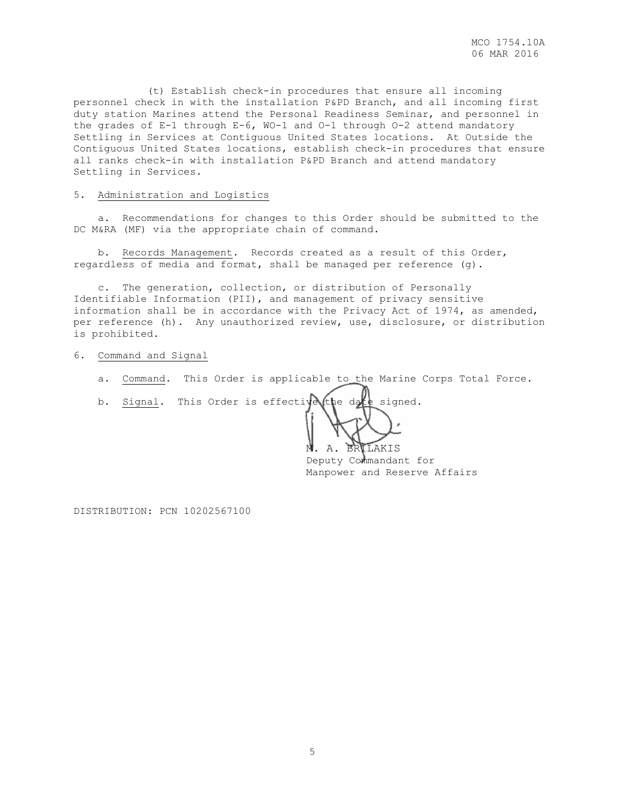(t) Establish check-in procedures that ensure all incoming personnel check in with the installation P&PD Branch, and all incoming first duty station Marines attend the Personal Readiness Seminar, and personnel in the grades of E-1 through E-6, WO-1 and O-1 through O-2 attend mandatory Settling in Services at Contiguous United States locations. At Outside the Contiguous United States locations, establish check-in procedures that ensure all ranks check-in with installation P&PD Branch and attend mandatory Settling in Services.

### 5. Administration and Logistics

 a. Recommendations for changes to this Order should be submitted to the DC M&RA (MF) via the appropriate chain of command.

 b. Records Management. Records created as a result of this Order, regardless of media and format, shall be managed per reference (g).

 c. The generation, collection, or distribution of Personally Identifiable Information (PII), and management of privacy sensitive information shall be in accordance with the Privacy Act of 1974, as amended, per reference (h). Any unauthorized review, use, disclosure, or distribution is prohibited.

#### 6. Command and Signal

- a. Command. This Order is applicable to the Marine Corps Total Force.
- b. Signal. This Order is effective the date signed.

M. A. BRILAKIS

 Deputy Commandant for Manpower and Reserve Affairs

DISTRIBUTION: PCN 10202567100